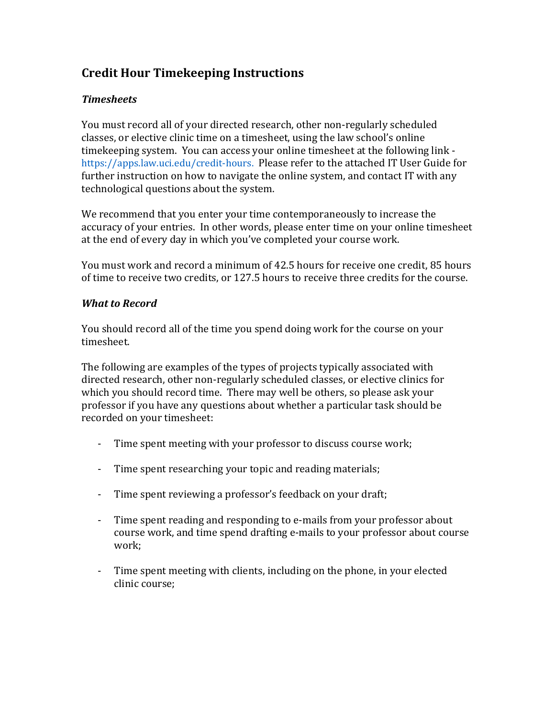# **Credit Hour Timekeeping Instructions**

## *Timesheets*

You must record all of your directed research, other non-regularly scheduled classes, or elective clinic time on a timesheet, using the law school's online timekeeping system. You can access your online timesheet at the following link https://apps.law.uci.edu/credit-hours. Please refer to the attached IT User Guide for further instruction on how to navigate the online system, and contact IT with any technological questions about the system.

We recommend that you enter your time contemporaneously to increase the accuracy of your entries. In other words, please enter time on your online timesheet at the end of every day in which you've completed your course work.

You must work and record a minimum of 42.5 hours for receive one credit, 85 hours of time to receive two credits, or 127.5 hours to receive three credits for the course.

### *What to Record*

You should record all of the time you spend doing work for the course on your timesheet.

The following are examples of the types of projects typically associated with directed research, other non-regularly scheduled classes, or elective clinics for which you should record time. There may well be others, so please ask your professor if you have any questions about whether a particular task should be recorded on your timesheet:

- Time spent meeting with your professor to discuss course work;
- Time spent researching your topic and reading materials;
- Time spent reviewing a professor's feedback on your draft;
- Time spent reading and responding to e-mails from your professor about course work, and time spend drafting e-mails to your professor about course work;
- Time spent meeting with clients, including on the phone, in your elected clinic course;